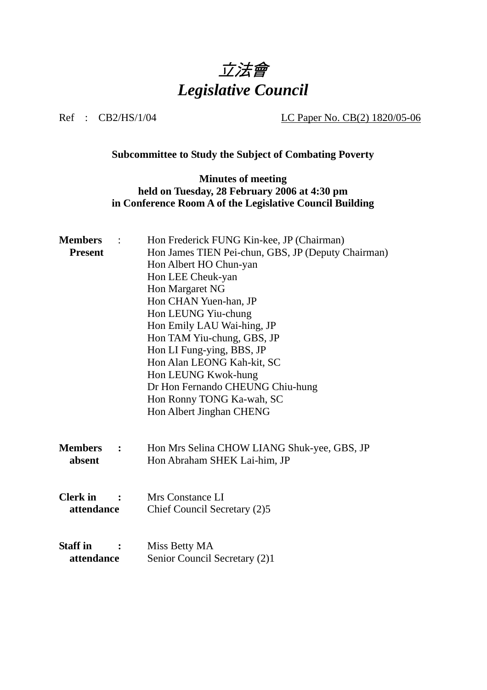

Ref : CB2/HS/1/04 LC Paper No. CB(2) 1820/05-06

## **Subcommittee to Study the Subject of Combating Poverty**

## **Minutes of meeting held on Tuesday, 28 February 2006 at 4:30 pm in Conference Room A of the Legislative Council Building**

| <b>Members</b>                         | Hon Frederick FUNG Kin-kee, JP (Chairman)          |
|----------------------------------------|----------------------------------------------------|
| <b>Present</b>                         | Hon James TIEN Pei-chun, GBS, JP (Deputy Chairman) |
|                                        | Hon Albert HO Chun-yan                             |
|                                        | Hon LEE Cheuk-yan                                  |
|                                        | Hon Margaret NG                                    |
|                                        | Hon CHAN Yuen-han, JP                              |
|                                        | Hon LEUNG Yiu-chung                                |
|                                        | Hon Emily LAU Wai-hing, JP                         |
|                                        | Hon TAM Yiu-chung, GBS, JP                         |
|                                        | Hon LI Fung-ying, BBS, JP                          |
|                                        | Hon Alan LEONG Kah-kit, SC                         |
|                                        | Hon LEUNG Kwok-hung                                |
|                                        | Dr Hon Fernando CHEUNG Chiu-hung                   |
|                                        | Hon Ronny TONG Ka-wah, SC                          |
|                                        | Hon Albert Jinghan CHENG                           |
|                                        |                                                    |
| <b>Members</b><br>$\ddot{\phantom{1}}$ | Hon Mrs Selina CHOW LIANG Shuk-yee, GBS, JP        |
| absent                                 | Hon Abraham SHEK Lai-him, JP                       |
|                                        |                                                    |
|                                        |                                                    |
| <b>Clerk</b> in                        | Mrs Constance LI                                   |
| attendance                             | Chief Council Secretary (2)5                       |
|                                        |                                                    |
|                                        |                                                    |
| <b>Staff</b> in                        | Miss Betty MA                                      |
| attendance                             | Senior Council Secretary (2)1                      |
|                                        |                                                    |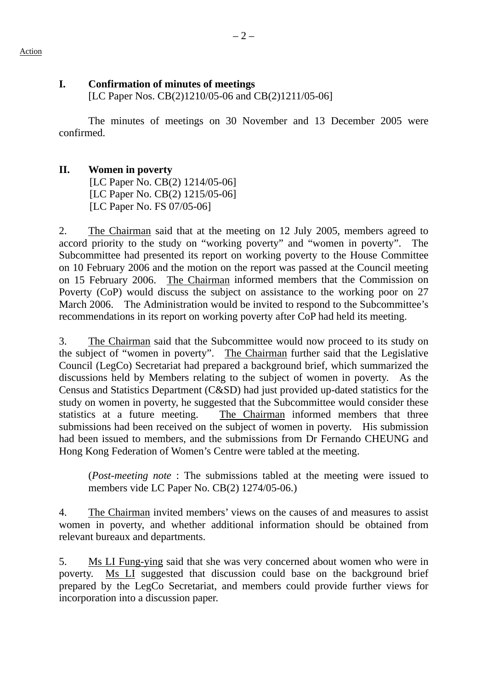## **I. Confirmation of minutes of meetings**

[LC Paper Nos. CB(2)1210/05-06 and CB(2)1211/05-06]

The minutes of meetings on 30 November and 13 December 2005 were confirmed.

## **II. Women in poverty**

[LC Paper No. CB(2) 1214/05-06] [LC Paper No. CB(2) 1215/05-06] [LC Paper No. FS 07/05-06]

2. The Chairman said that at the meeting on 12 July 2005, members agreed to accord priority to the study on "working poverty" and "women in poverty". The Subcommittee had presented its report on working poverty to the House Committee on 10 February 2006 and the motion on the report was passed at the Council meeting on 15 February 2006. The Chairman informed members that the Commission on Poverty (CoP) would discuss the subject on assistance to the working poor on 27 March 2006. The Administration would be invited to respond to the Subcommittee's recommendations in its report on working poverty after CoP had held its meeting.

3. The Chairman said that the Subcommittee would now proceed to its study on the subject of "women in poverty". The Chairman further said that the Legislative Council (LegCo) Secretariat had prepared a background brief, which summarized the discussions held by Members relating to the subject of women in poverty. As the Census and Statistics Department (C&SD) had just provided up-dated statistics for the study on women in poverty, he suggested that the Subcommittee would consider these statistics at a future meeting. The Chairman informed members that three submissions had been received on the subject of women in poverty. His submission had been issued to members, and the submissions from Dr Fernando CHEUNG and Hong Kong Federation of Women's Centre were tabled at the meeting.

(*Post-meeting note* : The submissions tabled at the meeting were issued to members vide LC Paper No. CB(2) 1274/05-06.)

4. The Chairman invited members' views on the causes of and measures to assist women in poverty, and whether additional information should be obtained from relevant bureaux and departments.

5. Ms LI Fung-ying said that she was very concerned about women who were in poverty. Ms LI suggested that discussion could base on the background brief prepared by the LegCo Secretariat, and members could provide further views for incorporation into a discussion paper.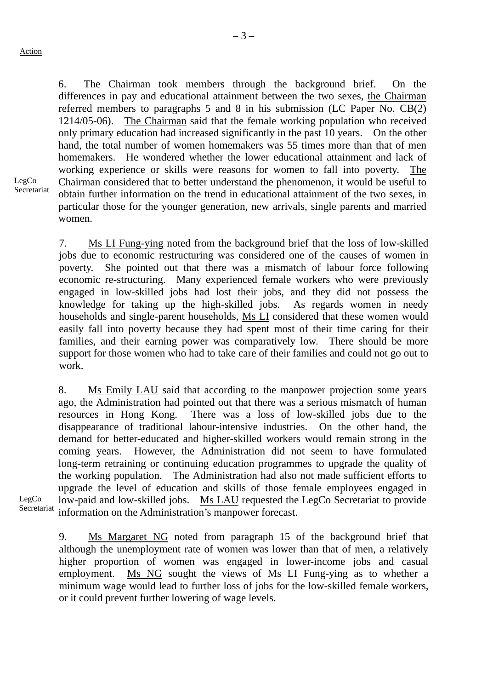6. The Chairman took members through the background brief. On the differences in pay and educational attainment between the two sexes, the Chairman referred members to paragraphs 5 and 8 in his submission (LC Paper No. CB(2) 1214/05-06). The Chairman said that the female working population who received only primary education had increased significantly in the past 10 years. On the other hand, the total number of women homemakers was 55 times more than that of men homemakers. He wondered whether the lower educational attainment and lack of working experience or skills were reasons for women to fall into poverty. The Chairman considered that to better understand the phenomenon, it would be useful to obtain further information on the trend in educational attainment of the two sexes, in particular those for the younger generation, new arrivals, single parents and married women.

LegCo Secretariat

> 7. Ms LI Fung-ying noted from the background brief that the loss of low-skilled jobs due to economic restructuring was considered one of the causes of women in poverty. She pointed out that there was a mismatch of labour force following economic re-structuring. Many experienced female workers who were previously engaged in low-skilled jobs had lost their jobs, and they did not possess the knowledge for taking up the high-skilled jobs. As regards women in needy households and single-parent households, Ms LI considered that these women would easily fall into poverty because they had spent most of their time caring for their families, and their earning power was comparatively low. There should be more support for those women who had to take care of their families and could not go out to work.

8. Ms Emily LAU said that according to the manpower projection some years ago, the Administration had pointed out that there was a serious mismatch of human resources in Hong Kong. There was a loss of low-skilled jobs due to the disappearance of traditional labour-intensive industries. On the other hand, the demand for better-educated and higher-skilled workers would remain strong in the coming years. However, the Administration did not seem to have formulated long-term retraining or continuing education programmes to upgrade the quality of the working population. The Administration had also not made sufficient efforts to upgrade the level of education and skills of those female employees engaged in low-paid and low-skilled jobs. Ms LAU requested the LegCo Secretariat to provide information on the Administration's manpower forecast.

LegCo Secretariat

> 9. Ms Margaret NG noted from paragraph 15 of the background brief that although the unemployment rate of women was lower than that of men, a relatively higher proportion of women was engaged in lower-income jobs and casual employment. Ms NG sought the views of Ms LI Fung-ying as to whether a minimum wage would lead to further loss of jobs for the low-skilled female workers, or it could prevent further lowering of wage levels.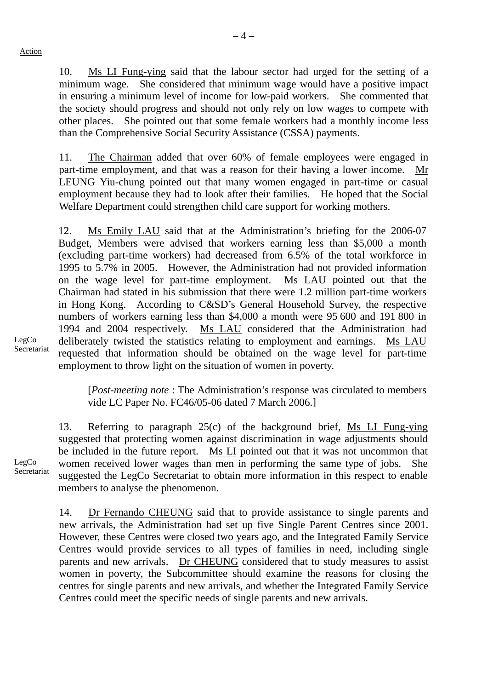10. Ms LI Fung-ying said that the labour sector had urged for the setting of a minimum wage. She considered that minimum wage would have a positive impact in ensuring a minimum level of income for low-paid workers. She commented that the society should progress and should not only rely on low wages to compete with other places. She pointed out that some female workers had a monthly income less than the Comprehensive Social Security Assistance (CSSA) payments.

11. The Chairman added that over 60% of female employees were engaged in part-time employment, and that was a reason for their having a lower income. Mr LEUNG Yiu-chung pointed out that many women engaged in part-time or casual employment because they had to look after their families. He hoped that the Social Welfare Department could strengthen child care support for working mothers.

12. Ms Emily LAU said that at the Administration's briefing for the 2006-07 Budget, Members were advised that workers earning less than \$5,000 a month (excluding part-time workers) had decreased from 6.5% of the total workforce in 1995 to 5.7% in 2005. However, the Administration had not provided information on the wage level for part-time employment. Ms LAU pointed out that the Chairman had stated in his submission that there were 1.2 million part-time workers in Hong Kong. According to C&SD's General Household Survey, the respective numbers of workers earning less than \$4,000 a month were 95,600 and 191,800 in 1994 and 2004 respectively. Ms LAU considered that the Administration had deliberately twisted the statistics relating to employment and earnings. Ms LAU requested that information should be obtained on the wage level for part-time employment to throw light on the situation of women in poverty.

LegCo Secretariat

> [*Post-meeting note* : The Administration's response was circulated to members vide LC Paper No. FC46/05-06 dated 7 March 2006.]

13. Referring to paragraph 25(c) of the background brief, Ms LI Fung-ying suggested that protecting women against discrimination in wage adjustments should be included in the future report. Ms LI pointed out that it was not uncommon that women received lower wages than men in performing the same type of jobs. She suggested the LegCo Secretariat to obtain more information in this respect to enable members to analyse the phenomenon.

LegCo Secretariat

> 14. Dr Fernando CHEUNG said that to provide assistance to single parents and new arrivals, the Administration had set up five Single Parent Centres since 2001. However, these Centres were closed two years ago, and the Integrated Family Service Centres would provide services to all types of families in need, including single parents and new arrivals. Dr CHEUNG considered that to study measures to assist women in poverty, the Subcommittee should examine the reasons for closing the centres for single parents and new arrivals, and whether the Integrated Family Service Centres could meet the specific needs of single parents and new arrivals.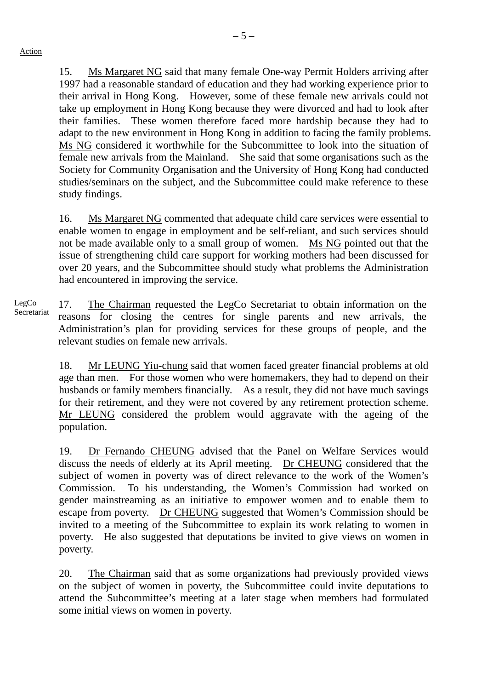$-5-$ 

15. Ms Margaret NG said that many female One-way Permit Holders arriving after 1997 had a reasonable standard of education and they had working experience prior to their arrival in Hong Kong. However, some of these female new arrivals could not take up employment in Hong Kong because they were divorced and had to look after their families. These women therefore faced more hardship because they had to adapt to the new environment in Hong Kong in addition to facing the family problems. Ms NG considered it worthwhile for the Subcommittee to look into the situation of female new arrivals from the Mainland. She said that some organisations such as the Society for Community Organisation and the University of Hong Kong had conducted studies/seminars on the subject, and the Subcommittee could make reference to these study findings.

16. Ms Margaret NG commented that adequate child care services were essential to enable women to engage in employment and be self-reliant, and such services should not be made available only to a small group of women. Ms NG pointed out that the issue of strengthening child care support for working mothers had been discussed for over 20 years, and the Subcommittee should study what problems the Administration had encountered in improving the service.

LegCo Secretariat 17. The Chairman requested the LegCo Secretariat to obtain information on the reasons for closing the centres for single parents and new arrivals, the Administration's plan for providing services for these groups of people, and the relevant studies on female new arrivals.

> 18. Mr LEUNG Yiu-chung said that women faced greater financial problems at old age than men. For those women who were homemakers, they had to depend on their husbands or family members financially. As a result, they did not have much savings for their retirement, and they were not covered by any retirement protection scheme. Mr LEUNG considered the problem would aggravate with the ageing of the population.

> 19. Dr Fernando CHEUNG advised that the Panel on Welfare Services would discuss the needs of elderly at its April meeting. Dr CHEUNG considered that the subject of women in poverty was of direct relevance to the work of the Women's Commission. To his understanding, the Women's Commission had worked on gender mainstreaming as an initiative to empower women and to enable them to escape from poverty. Dr CHEUNG suggested that Women's Commission should be invited to a meeting of the Subcommittee to explain its work relating to women in poverty. He also suggested that deputations be invited to give views on women in poverty.

> 20. The Chairman said that as some organizations had previously provided views on the subject of women in poverty, the Subcommittee could invite deputations to attend the Subcommittee's meeting at a later stage when members had formulated some initial views on women in poverty.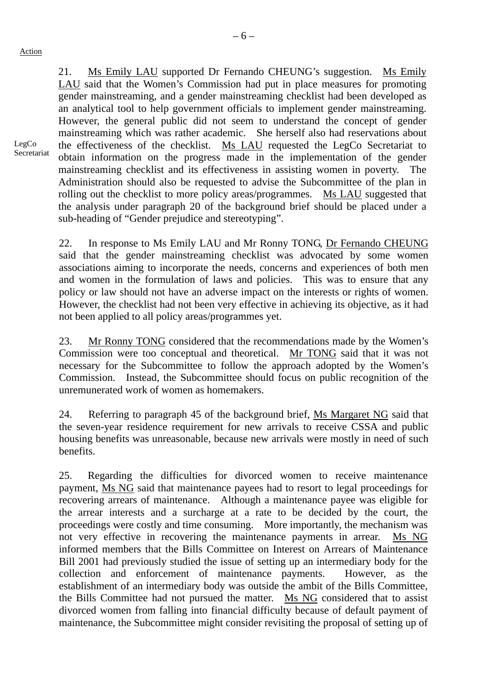21. Ms Emily LAU supported Dr Fernando CHEUNG's suggestion. Ms Emily LAU said that the Women's Commission had put in place measures for promoting gender mainstreaming, and a gender mainstreaming checklist had been developed as an analytical tool to help government officials to implement gender mainstreaming. However, the general public did not seem to understand the concept of gender mainstreaming which was rather academic. She herself also had reservations about the effectiveness of the checklist. Ms LAU requested the LegCo Secretariat to obtain information on the progress made in the implementation of the gender mainstreaming checklist and its effectiveness in assisting women in poverty. The Administration should also be requested to advise the Subcommittee of the plan in rolling out the checklist to more policy areas/programmes. Ms LAU suggested that the analysis under paragraph 20 of the background brief should be placed under a sub-heading of "Gender prejudice and stereotyping".

22. In response to Ms Emily LAU and Mr Ronny TONG, Dr Fernando CHEUNG said that the gender mainstreaming checklist was advocated by some women associations aiming to incorporate the needs, concerns and experiences of both men and women in the formulation of laws and policies. This was to ensure that any policy or law should not have an adverse impact on the interests or rights of women. However, the checklist had not been very effective in achieving its objective, as it had not been applied to all policy areas/programmes yet.

23. Mr Ronny TONG considered that the recommendations made by the Women's Commission were too conceptual and theoretical. Mr TONG said that it was not necessary for the Subcommittee to follow the approach adopted by the Women's Commission. Instead, the Subcommittee should focus on public recognition of the unremunerated work of women as homemakers.

24. Referring to paragraph 45 of the background brief, Ms Margaret NG said that the seven-year residence requirement for new arrivals to receive CSSA and public housing benefits was unreasonable, because new arrivals were mostly in need of such benefits.

25. Regarding the difficulties for divorced women to receive maintenance payment, Ms NG said that maintenance payees had to resort to legal proceedings for recovering arrears of maintenance. Although a maintenance payee was eligible for the arrear interests and a surcharge at a rate to be decided by the court, the proceedings were costly and time consuming. More importantly, the mechanism was not very effective in recovering the maintenance payments in arrear. Ms NG informed members that the Bills Committee on Interest on Arrears of Maintenance Bill 2001 had previously studied the issue of setting up an intermediary body for the collection and enforcement of maintenance payments. However, as the establishment of an intermediary body was outside the ambit of the Bills Committee, the Bills Committee had not pursued the matter. Ms NG considered that to assist divorced women from falling into financial difficulty because of default payment of maintenance, the Subcommittee might consider revisiting the proposal of setting up of

LegCo Secretariat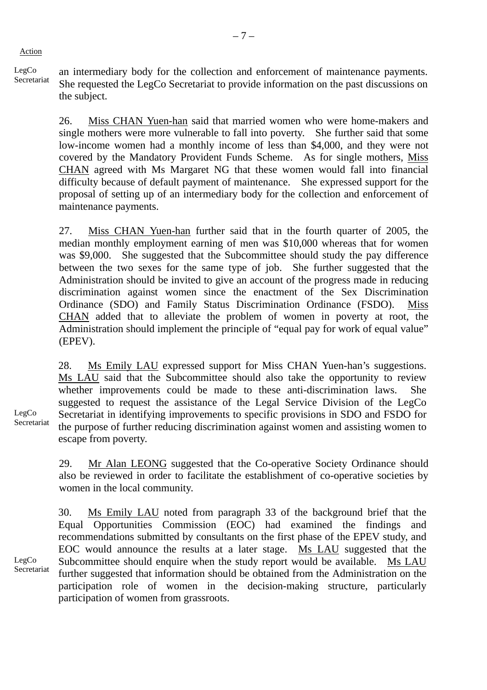Action

LegCo LegCo an intermediary body for the collection and enforcement of maintenance payments.<br>Secretariate SU She requested the LegCo Secretariat to provide information on the past discussions on the subject.

> 26. Miss CHAN Yuen-han said that married women who were home-makers and single mothers were more vulnerable to fall into poverty. She further said that some low-income women had a monthly income of less than \$4,000, and they were not covered by the Mandatory Provident Funds Scheme. As for single mothers, Miss CHAN agreed with Ms Margaret NG that these women would fall into financial difficulty because of default payment of maintenance. She expressed support for the proposal of setting up of an intermediary body for the collection and enforcement of maintenance payments.

> 27. Miss CHAN Yuen-han further said that in the fourth quarter of 2005, the median monthly employment earning of men was \$10,000 whereas that for women was \$9,000. She suggested that the Subcommittee should study the pay difference between the two sexes for the same type of job. She further suggested that the Administration should be invited to give an account of the progress made in reducing discrimination against women since the enactment of the Sex Discrimination Ordinance (SDO) and Family Status Discrimination Ordinance (FSDO). Miss CHAN added that to alleviate the problem of women in poverty at root, the Administration should implement the principle of "equal pay for work of equal value" (EPEV).

> 28. Ms Emily LAU expressed support for Miss CHAN Yuen-han's suggestions. Ms LAU said that the Subcommittee should also take the opportunity to review whether improvements could be made to these anti-discrimination laws. She suggested to request the assistance of the Legal Service Division of the LegCo Secretariat in identifying improvements to specific provisions in SDO and FSDO for the purpose of further reducing discrimination against women and assisting women to escape from poverty.

> 29. Mr Alan LEONG suggested that the Co-operative Society Ordinance should also be reviewed in order to facilitate the establishment of co-operative societies by women in the local community.

30. Ms Emily LAU noted from paragraph 33 of the background brief that the Equal Opportunities Commission (EOC) had examined the findings and recommendations submitted by consultants on the first phase of the EPEV study, and EOC would announce the results at a later stage. Ms LAU suggested that the Subcommittee should enquire when the study report would be available. Ms LAU further suggested that information should be obtained from the Administration on the participation role of women in the decision-making structure, particularly participation of women from grassroots.

LegCo Secretariat

LegCo Secretariat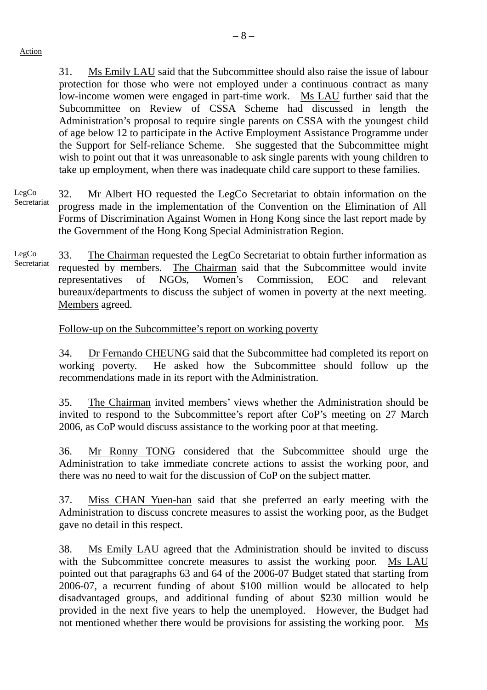– 8 –

31. Ms Emily LAU said that the Subcommittee should also raise the issue of labour protection for those who were not employed under a continuous contract as many low-income women were engaged in part-time work. Ms LAU further said that the Subcommittee on Review of CSSA Scheme had discussed in length the Administration's proposal to require single parents on CSSA with the youngest child of age below 12 to participate in the Active Employment Assistance Programme under the Support for Self-reliance Scheme. She suggested that the Subcommittee might wish to point out that it was unreasonable to ask single parents with young children to take up employment, when there was inadequate child care support to these families.

LegCo Secretariat 32. Mr Albert HO requested the LegCo Secretariat to obtain information on the progress made in the implementation of the Convention on the Elimination of All Forms of Discrimination Against Women in Hong Kong since the last report made by the Government of the Hong Kong Special Administration Region.

LegCo Secretariat 33. The Chairman requested the LegCo Secretariat to obtain further information as requested by members. The Chairman said that the Subcommittee would invite representatives of NGOs, Women's Commission, EOC and relevant bureaux/departments to discuss the subject of women in poverty at the next meeting. Members agreed.

Follow-up on the Subcommittee's report on working poverty

34. Dr Fernando CHEUNG said that the Subcommittee had completed its report on working poverty. He asked how the Subcommittee should follow up the recommendations made in its report with the Administration.

35. The Chairman invited members' views whether the Administration should be invited to respond to the Subcommittee's report after CoP's meeting on 27 March 2006, as CoP would discuss assistance to the working poor at that meeting.

36. Mr Ronny TONG considered that the Subcommittee should urge the Administration to take immediate concrete actions to assist the working poor, and there was no need to wait for the discussion of CoP on the subject matter.

37. Miss CHAN Yuen-han said that she preferred an early meeting with the Administration to discuss concrete measures to assist the working poor, as the Budget gave no detail in this respect.

38. Ms Emily LAU agreed that the Administration should be invited to discuss with the Subcommittee concrete measures to assist the working poor. Ms LAU pointed out that paragraphs 63 and 64 of the 2006-07 Budget stated that starting from 2006-07, a recurrent funding of about \$100 million would be allocated to help disadvantaged groups, and additional funding of about \$230 million would be provided in the next five years to help the unemployed. However, the Budget had not mentioned whether there would be provisions for assisting the working poor. Ms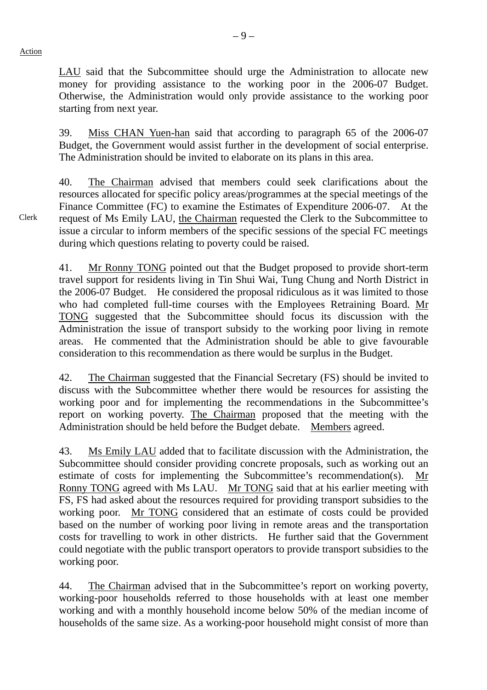starting from next year.

LAU said that the Subcommittee should urge the Administration to allocate new money for providing assistance to the working poor in the 2006-07 Budget.

Otherwise, the Administration would only provide assistance to the working poor

39. Miss CHAN Yuen-han said that according to paragraph 65 of the 2006-07 Budget, the Government would assist further in the development of social enterprise. The Administration should be invited to elaborate on its plans in this area.

40. The Chairman advised that members could seek clarifications about the resources allocated for specific policy areas/programmes at the special meetings of the Finance Committee (FC) to examine the Estimates of Expenditure 2006-07. At the request of Ms Emily LAU, the Chairman requested the Clerk to the Subcommittee to issue a circular to inform members of the specific sessions of the special FC meetings during which questions relating to poverty could be raised.

41. Mr Ronny TONG pointed out that the Budget proposed to provide short-term travel support for residents living in Tin Shui Wai, Tung Chung and North District in the 2006-07 Budget. He considered the proposal ridiculous as it was limited to those who had completed full-time courses with the Employees Retraining Board. Mr TONG suggested that the Subcommittee should focus its discussion with the Administration the issue of transport subsidy to the working poor living in remote areas. He commented that the Administration should be able to give favourable consideration to this recommendation as there would be surplus in the Budget.

42. The Chairman suggested that the Financial Secretary (FS) should be invited to discuss with the Subcommittee whether there would be resources for assisting the working poor and for implementing the recommendations in the Subcommittee's report on working poverty. The Chairman proposed that the meeting with the Administration should be held before the Budget debate. Members agreed.

43. Ms Emily LAU added that to facilitate discussion with the Administration, the Subcommittee should consider providing concrete proposals, such as working out an estimate of costs for implementing the Subcommittee's recommendation(s). Ronny TONG agreed with Ms LAU. Mr TONG said that at his earlier meeting with FS, FS had asked about the resources required for providing transport subsidies to the working poor. Mr TONG considered that an estimate of costs could be provided based on the number of working poor living in remote areas and the transportation costs for travelling to work in other districts. He further said that the Government could negotiate with the public transport operators to provide transport subsidies to the working poor.

44. The Chairman advised that in the Subcommittee's report on working poverty, working-poor households referred to those households with at least one member working and with a monthly household income below 50% of the median income of households of the same size. As a working-poor household might consist of more than

Clerk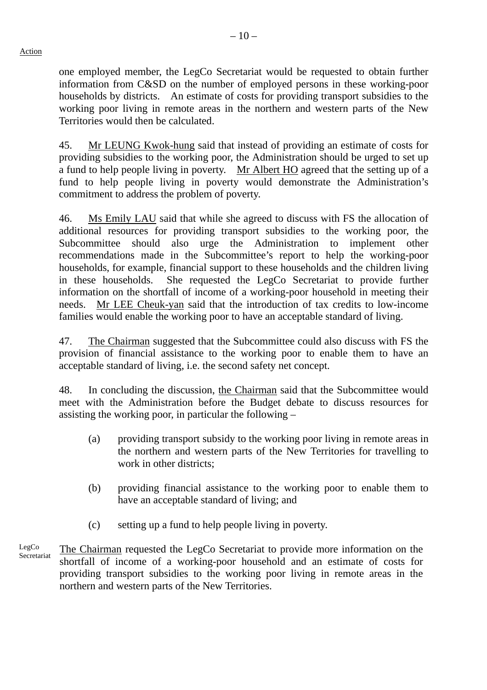one employed member, the LegCo Secretariat would be requested to obtain further information from C&SD on the number of employed persons in these working-poor households by districts. An estimate of costs for providing transport subsidies to the working poor living in remote areas in the northern and western parts of the New Territories would then be calculated.

45. Mr LEUNG Kwok-hung said that instead of providing an estimate of costs for providing subsidies to the working poor, the Administration should be urged to set up a fund to help people living in poverty. Mr Albert HO agreed that the setting up of a fund to help people living in poverty would demonstrate the Administration's commitment to address the problem of poverty.

46. Ms Emily LAU said that while she agreed to discuss with FS the allocation of additional resources for providing transport subsidies to the working poor, the Subcommittee should also urge the Administration to implement other recommendations made in the Subcommittee's report to help the working-poor households, for example, financial support to these households and the children living in these households. She requested the LegCo Secretariat to provide further information on the shortfall of income of a working-poor household in meeting their needs. Mr LEE Cheuk-yan said that the introduction of tax credits to low-income families would enable the working poor to have an acceptable standard of living.

47. The Chairman suggested that the Subcommittee could also discuss with FS the provision of financial assistance to the working poor to enable them to have an acceptable standard of living, i.e. the second safety net concept.

48. In concluding the discussion, the Chairman said that the Subcommittee would meet with the Administration before the Budget debate to discuss resources for assisting the working poor, in particular the following –

- (a) providing transport subsidy to the working poor living in remote areas in the northern and western parts of the New Territories for travelling to work in other districts;
- (b) providing financial assistance to the working poor to enable them to have an acceptable standard of living; and
- (c) setting up a fund to help people living in poverty.
- LegCo Secretariat The Chairman requested the LegCo Secretariat to provide more information on the shortfall of income of a working-poor household and an estimate of costs for providing transport subsidies to the working poor living in remote areas in the northern and western parts of the New Territories.